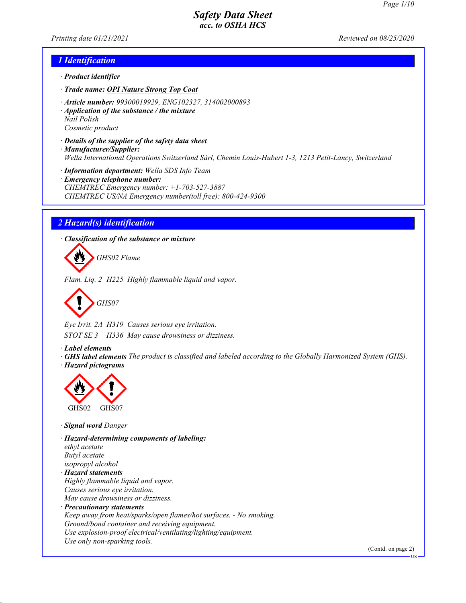*Printing date 01/21/2021 Reviewed on 08/25/2020*

### *1 Identification*

- *· Product identifier*
- *· Trade name: OPI Nature Strong Top Coat*
- *· Article number: 99300019929, ENG102327, 314002000893*
- *· Application of the substance / the mixture Nail Polish Cosmetic product*
- *· Details of the supplier of the safety data sheet*
- *· Manufacturer/Supplier: Wella International Operations Switzerland Sàrl, Chemin Louis-Hubert 1-3, 1213 Petit-Lancy, Switzerland*
- *· Information department: Wella SDS Info Team*
- *· Emergency telephone number: CHEMTREC Emergency number: +1-703-527-3887 CHEMTREC US/NA Emergency number(toll free): 800-424-9300*

## *2 Hazard(s) identification*

*· Classification of the substance or mixture*

*GHS02 Flame*

*Flam. Liq. 2 H225 Highly flammable liquid and vapor.*



*Eye Irrit. 2A H319 Causes serious eye irritation. STOT SE 3 H336 May cause drowsiness or dizziness.*

*· Label elements*

*· GHS label elements The product is classified and labeled according to the Globally Harmonized System (GHS). · Hazard pictograms*



*· Signal word Danger*

*· Hazard-determining components of labeling: ethyl acetate Butyl acetate isopropyl alcohol · Hazard statements Highly flammable liquid and vapor. Causes serious eye irritation. May cause drowsiness or dizziness. · Precautionary statements Keep away from heat/sparks/open flames/hot surfaces. - No smoking. Ground/bond container and receiving equipment. Use explosion-proof electrical/ventilating/lighting/equipment. Use only non-sparking tools.*

(Contd. on page 2)

US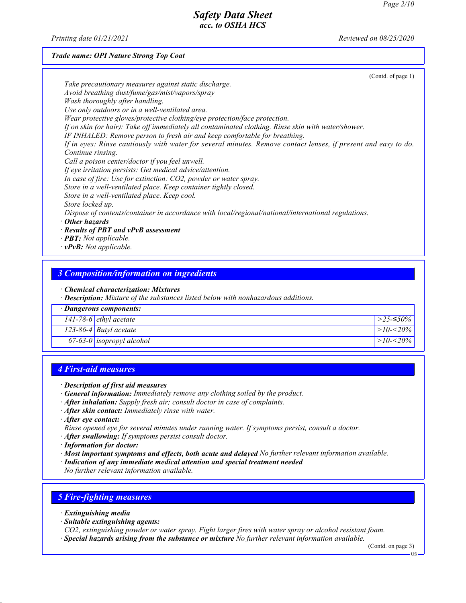*Printing date 01/21/2021 Reviewed on 08/25/2020*

#### *Trade name: OPI Nature Strong Top Coat*

| (Cond. of page 1)                                                                                              |
|----------------------------------------------------------------------------------------------------------------|
| Take precautionary measures against static discharge.                                                          |
| Avoid breathing dust/fume/gas/mist/vapors/spray                                                                |
| Wash thoroughly after handling.                                                                                |
| Use only outdoors or in a well-ventilated area.                                                                |
| Wear protective gloves/protective clothing/eye protection/face protection.                                     |
| If on skin (or hair): Take off immediately all contaminated clothing. Rinse skin with water/shower.            |
| IF INHALED: Remove person to fresh air and keep comfortable for breathing.                                     |
| If in eyes: Rinse cautiously with water for several minutes. Remove contact lenses, if present and easy to do. |
| Continue rinsing.                                                                                              |
| Call a poison center/doctor if you feel unwell.                                                                |
| If eye irritation persists: Get medical advice/attention.                                                      |
| In case of fire: Use for extinction: CO2, powder or water spray.                                               |
| Store in a well-ventilated place. Keep container tightly closed.                                               |
| Store in a well-ventilated place. Keep cool.                                                                   |
| Store locked up.                                                                                               |
| Dispose of contents/container in accordance with local/regional/national/international regulations.            |
| $\cdot$ Other hazards                                                                                          |
| $\cdot$ Results of PBT and vPvB assessment                                                                     |
| $\cdot$ <b>PBT:</b> Not applicable.                                                                            |
| $\cdot$ vPvB: Not applicable.                                                                                  |

### *3 Composition/information on ingredients*

*· Chemical characterization: Mixtures*

*· Description: Mixture of the substances listed below with nonhazardous additions.*

| · Dangerous components:   |               |
|---------------------------|---------------|
| $141-78-6$ ethyl acetate  | >25-≤50%      |
| $123-86-4$ Butyl acetate  | > $10 - 20\%$ |
| 67-63-0 isopropyl alcohol | $>10 - 20\%$  |

### *4 First-aid measures*

#### *· Description of first aid measures*

- *· General information: Immediately remove any clothing soiled by the product.*
- *· After inhalation: Supply fresh air; consult doctor in case of complaints.*
- *· After skin contact: Immediately rinse with water.*

*· After eye contact:*

- *Rinse opened eye for several minutes under running water. If symptoms persist, consult a doctor.*
- *· After swallowing: If symptoms persist consult doctor.*
- *· Information for doctor:*
- *· Most important symptoms and effects, both acute and delayed No further relevant information available.*
- *· Indication of any immediate medical attention and special treatment needed*
- *No further relevant information available.*

### *5 Fire-fighting measures*

- *· Extinguishing media*
- *· Suitable extinguishing agents:*

*CO2, extinguishing powder or water spray. Fight larger fires with water spray or alcohol resistant foam. · Special hazards arising from the substance or mixture No further relevant information available.*

(Contd. on page 3)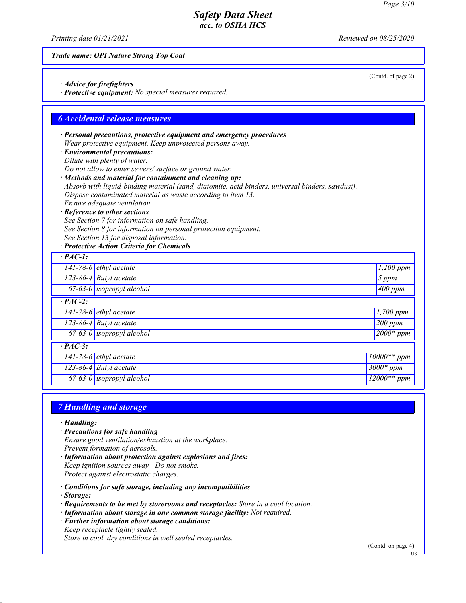*Printing date 01/21/2021 Reviewed on 08/25/2020*

### *Trade name: OPI Nature Strong Top Coat*

- *· Advice for firefighters*
- *· Protective equipment: No special measures required.*

### *6 Accidental release measures*

- *· Personal precautions, protective equipment and emergency procedures Wear protective equipment. Keep unprotected persons away.*
- *· Environmental precautions:*
- *Dilute with plenty of water.*

*Do not allow to enter sewers/ surface or ground water.*

- *· Methods and material for containment and cleaning up:*
- *Absorb with liquid-binding material (sand, diatomite, acid binders, universal binders, sawdust). Dispose contaminated material as waste according to item 13.*
- *Ensure adequate ventilation.*
- *· Reference to other sections*
- *See Section 7 for information on safe handling. See Section 8 for information on personal protection equipment. See Section 13 for disposal information.*
- *· Protective Action Criteria for Chemicals*

| $\cdot$ PAC-1: |                             |                         |
|----------------|-----------------------------|-------------------------|
|                | 141-78-6 ethyl acetate      | $1,200$ ppm             |
|                | 123-86-4 Butyl acetate      | 5 ppm                   |
|                | $67-63-0$ isopropyl alcohol | $\sqrt{400}$ ppm        |
| $\cdot$ PAC-2: |                             |                         |
|                | $141-78-6$ ethyl acetate    | $\overline{I}$ ,700 ppm |
|                | $123-86-4$ Butyl acetate    | $200$ ppm               |
|                | $67-63-0$ isopropyl alcohol | $\sqrt{2000*}$ ppm      |
| $\cdot$ PAC-3: |                             |                         |
|                | $141-78-6$ ethyl acetate    | $10000**ppm$            |
|                | 123-86-4 Butyl acetate      | $3000*$ ppm             |
|                | $67-63-0$ isopropyl alcohol | $12000**$ ppm           |

### *7 Handling and storage*

- *· Handling:*
- *· Precautions for safe handling Ensure good ventilation/exhaustion at the workplace. Prevent formation of aerosols.*
- *· Information about protection against explosions and fires: Keep ignition sources away - Do not smoke. Protect against electrostatic charges.*
- *· Conditions for safe storage, including any incompatibilities*
- *· Storage:*
- *· Requirements to be met by storerooms and receptacles: Store in a cool location.*
- *· Information about storage in one common storage facility: Not required.*
- *· Further information about storage conditions:*
- *Keep receptacle tightly sealed.*

*Store in cool, dry conditions in well sealed receptacles.*

(Contd. on page 4)

(Contd. of page 2)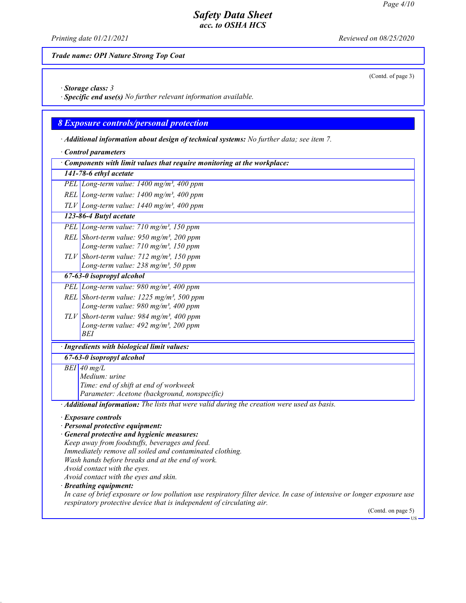*Printing date 01/21/2021 Reviewed on 08/25/2020*

## *Trade name: OPI Nature Strong Top Coat*

(Contd. of page 3)

*· Storage class: 3* 

*· Specific end use(s) No further relevant information available.*

# *8 Exposure controls/personal protection*

*· Additional information about design of technical systems: No further data; see item 7.*

|                                                                        | <b>Control parameters</b>                                                                                                                                                                      |  |  |
|------------------------------------------------------------------------|------------------------------------------------------------------------------------------------------------------------------------------------------------------------------------------------|--|--|
| Components with limit values that require monitoring at the workplace: |                                                                                                                                                                                                |  |  |
|                                                                        | 141-78-6 ethyl acetate                                                                                                                                                                         |  |  |
|                                                                        | PEL Long-term value: 1400 mg/m <sup>3</sup> , 400 ppm                                                                                                                                          |  |  |
|                                                                        | REL Long-term value: $1400$ mg/m <sup>3</sup> , 400 ppm                                                                                                                                        |  |  |
|                                                                        | $TLV$ Long-term value: 1440 mg/m <sup>3</sup> , 400 ppm                                                                                                                                        |  |  |
|                                                                        | 123-86-4 Butyl acetate                                                                                                                                                                         |  |  |
|                                                                        | PEL Long-term value: 710 mg/m <sup>3</sup> , 150 ppm                                                                                                                                           |  |  |
|                                                                        | REL Short-term value: 950 mg/m <sup>3</sup> , 200 ppm<br>Long-term value: 710 mg/m <sup>3</sup> , 150 ppm                                                                                      |  |  |
|                                                                        | TLV Short-term value: $712$ mg/m <sup>3</sup> , 150 ppm                                                                                                                                        |  |  |
|                                                                        | Long-term value: $238$ mg/m <sup>3</sup> , 50 ppm                                                                                                                                              |  |  |
|                                                                        | 67-63-0 isopropyl alcohol                                                                                                                                                                      |  |  |
|                                                                        | PEL Long-term value: 980 mg/m <sup>3</sup> , 400 ppm                                                                                                                                           |  |  |
|                                                                        | REL Short-term value: $1225$ mg/m <sup>3</sup> , 500 ppm                                                                                                                                       |  |  |
|                                                                        | Long-term value: 980 mg/m <sup>3</sup> , 400 ppm                                                                                                                                               |  |  |
|                                                                        | TLV Short-term value: 984 mg/m <sup>3</sup> , 400 ppm                                                                                                                                          |  |  |
|                                                                        | Long-term value: $492$ mg/m <sup>3</sup> , $200$ ppm                                                                                                                                           |  |  |
|                                                                        | BEI                                                                                                                                                                                            |  |  |
|                                                                        | · Ingredients with biological limit values:                                                                                                                                                    |  |  |
|                                                                        | 67-63-0 isopropyl alcohol                                                                                                                                                                      |  |  |
|                                                                        | $BEI$ 40 mg/L                                                                                                                                                                                  |  |  |
|                                                                        | Medium: urine<br>Time: end of shift at end of workweek                                                                                                                                         |  |  |
|                                                                        | Parameter: Acetone (background, nonspecific)                                                                                                                                                   |  |  |
|                                                                        | · Additional information: The lists that were valid during the creation were used as basis.                                                                                                    |  |  |
|                                                                        |                                                                                                                                                                                                |  |  |
|                                                                        | · Exposure controls<br>· Personal protective equipment:                                                                                                                                        |  |  |
|                                                                        | · General protective and hygienic measures:                                                                                                                                                    |  |  |
|                                                                        | Keep away from foodstuffs, beverages and feed.                                                                                                                                                 |  |  |
|                                                                        | Immediately remove all soiled and contaminated clothing.                                                                                                                                       |  |  |
|                                                                        | Wash hands before breaks and at the end of work.                                                                                                                                               |  |  |
|                                                                        | Avoid contact with the eyes.                                                                                                                                                                   |  |  |
|                                                                        | Avoid contact with the eyes and skin.                                                                                                                                                          |  |  |
|                                                                        | · Breathing equipment:                                                                                                                                                                         |  |  |
|                                                                        | In case of brief exposure or low pollution use respiratory filter device. In case of intensive or longer exposure use<br>respiratory protective device that is independent of circulating air. |  |  |
|                                                                        | (Contd. on page 5)                                                                                                                                                                             |  |  |
|                                                                        | - US                                                                                                                                                                                           |  |  |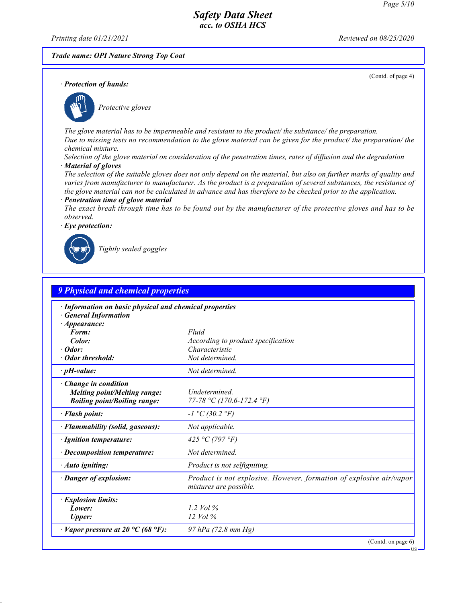*Printing date 01/21/2021 Reviewed on 08/25/2020*

*· Protection of hands:*

### *Trade name: OPI Nature Strong Top Coat*

(Contd. of page 4)



*Protective gloves*

*The glove material has to be impermeable and resistant to the product/ the substance/ the preparation. Due to missing tests no recommendation to the glove material can be given for the product/ the preparation/ the chemical mixture.*

*Selection of the glove material on consideration of the penetration times, rates of diffusion and the degradation · Material of gloves*

*The selection of the suitable gloves does not only depend on the material, but also on further marks of quality and varies from manufacturer to manufacturer. As the product is a preparation of several substances, the resistance of the glove material can not be calculated in advance and has therefore to be checked prior to the application.*

#### *· Penetration time of glove material*

*The exact break through time has to be found out by the manufacturer of the protective gloves and has to be observed.*

*· Eye protection:*



*Tightly sealed goggles*

| <b>9 Physical and chemical properties</b>                                                                 |                                                                                               |  |
|-----------------------------------------------------------------------------------------------------------|-----------------------------------------------------------------------------------------------|--|
| · Information on basic physical and chemical properties<br><b>General Information</b>                     |                                                                                               |  |
| · Appearance:<br>Form:                                                                                    | Fluid                                                                                         |  |
| Color:                                                                                                    | According to product specification                                                            |  |
| $\cdot$ Odor:                                                                                             | Characteristic                                                                                |  |
| Odor threshold:                                                                                           | Not determined.                                                                               |  |
| $\cdot$ pH-value:                                                                                         | Not determined.                                                                               |  |
| $\cdot$ Change in condition<br><b>Melting point/Melting range:</b><br><b>Boiling point/Boiling range:</b> | Undetermined.<br>77-78 °C (170.6-172.4 °F)                                                    |  |
| · Flash point:                                                                                            | $-I$ °C (30.2 °F)                                                                             |  |
| · Flammability (solid, gaseous):                                                                          | Not applicable.                                                                               |  |
| · Ignition temperature:                                                                                   | 425 °C (797 °F)                                                                               |  |
| $\cdot$ Decomposition temperature:                                                                        | Not determined.                                                                               |  |
| · Auto igniting:                                                                                          | Product is not selfigniting.                                                                  |  |
| · Danger of explosion:                                                                                    | Product is not explosive. However, formation of explosive air/vapor<br>mixtures are possible. |  |
| · Explosion limits:                                                                                       |                                                                                               |  |
| Lower:                                                                                                    | 1.2 Vol $\%$                                                                                  |  |
| <b>Upper:</b>                                                                                             | $12$ Vol $\%$                                                                                 |  |
| $\cdot$ Vapor pressure at 20 °C (68 °F):                                                                  | 97 hPa (72.8 mm Hg)                                                                           |  |
|                                                                                                           | (Contd. on page 6)                                                                            |  |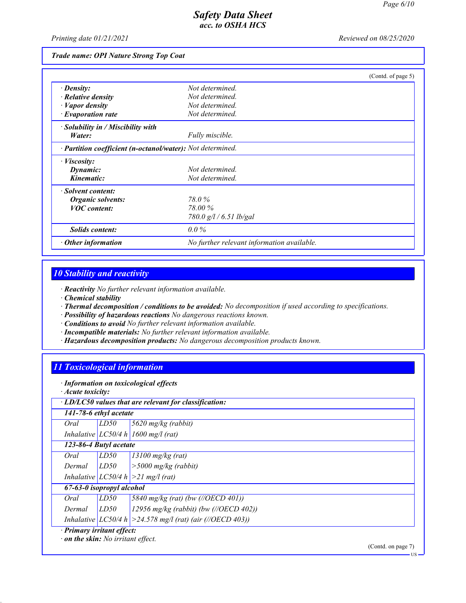*Printing date 01/21/2021 Reviewed on 08/25/2020*

#### *Trade name: OPI Nature Strong Top Coat*

|                                                            |                                            | (Contd. of page 5) |
|------------------------------------------------------------|--------------------------------------------|--------------------|
| $\cdot$ Density:                                           | Not determined.                            |                    |
| $\cdot$ Relative density                                   | Not determined.                            |                    |
| $\cdot$ <i>Vapor density</i>                               | Not determined.                            |                    |
| $\cdot$ Evaporation rate                                   | Not determined.                            |                    |
| $\cdot$ Solubility in / Miscibility with                   |                                            |                    |
| Water:                                                     | Fully miscible.                            |                    |
| · Partition coefficient (n-octanol/water): Not determined. |                                            |                    |
| · <i>Viscosity</i> :                                       |                                            |                    |
| Dynamic:                                                   | Not determined.                            |                    |
| Kinematic:                                                 | Not determined.                            |                    |
| · Solvent content:                                         |                                            |                    |
| Organic solvents:                                          | 78.0 %                                     |                    |
| <b>VOC</b> content:                                        | 78.00 %                                    |                    |
|                                                            | 780.0 g/l / 6.51 lb/gal                    |                    |
| Solids content:                                            | $0.0\%$                                    |                    |
| $\cdot$ Other information                                  | No further relevant information available. |                    |

# *10 Stability and reactivity*

*· Reactivity No further relevant information available.*

- *· Chemical stability*
- *· Thermal decomposition / conditions to be avoided: No decomposition if used according to specifications.*
- *· Possibility of hazardous reactions No dangerous reactions known.*
- *· Conditions to avoid No further relevant information available.*
- *· Incompatible materials: No further relevant information available.*
- *· Hazardous decomposition products: No dangerous decomposition products known.*

### *11 Toxicological information*

*· Information on toxicological effects*

*· Acute toxicity:*

| 141-78-6 ethyl acetate                                                 |      |                                                                |
|------------------------------------------------------------------------|------|----------------------------------------------------------------|
| Oral                                                                   | LD50 | $5620$ mg/kg (rabbit)                                          |
|                                                                        |      | Inhalative $ LC50/4 h  1600$ mg/l (rat)                        |
| 123-86-4 Butyl acetate                                                 |      |                                                                |
| Oral                                                                   | LD50 | $13100$ mg/kg (rat)                                            |
| Dermal                                                                 | LD50 | $\vert$ > 5000 mg/kg (rabbit)                                  |
|                                                                        |      | Inhalative $ LCS0/4 h  > 21$ mg/l (rat)                        |
| 67-63-0 isopropyl alcohol                                              |      |                                                                |
| Oral                                                                   | LD50 | 5840 mg/kg (rat) (bw (//OECD 401))                             |
| Dermal                                                                 | LD50 | 12956 mg/kg (rabbit) (bw (//OECD 402))                         |
|                                                                        |      | Inhalative $ LC50/4 h  > 24.578$ mg/l (rat) (air (//OECD 403)) |
| · Primary irritant effect:<br>$\cdot$ on the skin: No irritant effect. |      |                                                                |

(Contd. on page 7)

US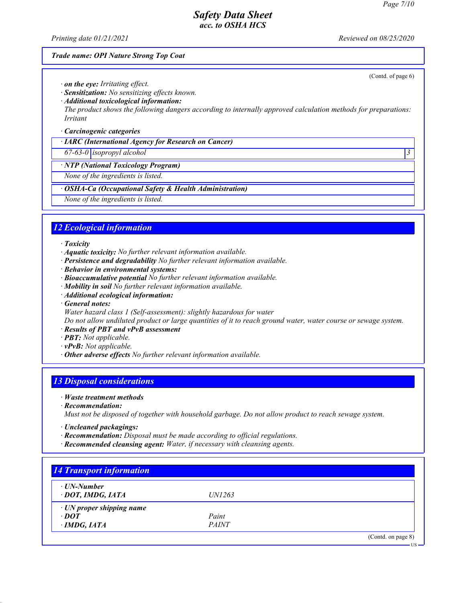(Contd. of page 6)

## *Safety Data Sheet acc. to OSHA HCS*

*Printing date 01/21/2021 Reviewed on 08/25/2020*

### *Trade name: OPI Nature Strong Top Coat*

*· on the eye: Irritating effect.*

*· Sensitization: No sensitizing effects known.*

*· Additional toxicological information:*

*The product shows the following dangers according to internally approved calculation methods for preparations: Irritant*

#### *· Carcinogenic categories*

*· IARC (International Agency for Research on Cancer)*

*67-63-0 isopropyl alcohol 3* 

*· NTP (National Toxicology Program)*

*None of the ingredients is listed.*

*· OSHA-Ca (Occupational Safety & Health Administration)*

*None of the ingredients is listed.*

# *12 Ecological information*

*· Toxicity*

- *· Aquatic toxicity: No further relevant information available.*
- *· Persistence and degradability No further relevant information available.*
- *· Behavior in environmental systems:*
- *· Bioaccumulative potential No further relevant information available.*
- *· Mobility in soil No further relevant information available.*
- *· Additional ecological information:*
- *· General notes:*
- *Water hazard class 1 (Self-assessment): slightly hazardous for water*

*Do not allow undiluted product or large quantities of it to reach ground water, water course or sewage system.*

- *· Results of PBT and vPvB assessment*
- *· PBT: Not applicable.*
- *· vPvB: Not applicable.*
- *· Other adverse effects No further relevant information available.*

## *13 Disposal considerations*

- *· Waste treatment methods*
- *· Recommendation:*

*Must not be disposed of together with household garbage. Do not allow product to reach sewage system.*

- *· Uncleaned packagings:*
- *· Recommendation: Disposal must be made according to official regulations.*
- *· Recommended cleansing agent: Water, if necessary with cleansing agents.*

| ⋅ UN-Number                     |               |  |
|---------------------------------|---------------|--|
| · DOT, IMDG, IATA               | <i>UN1263</i> |  |
| $\cdot$ UN proper shipping name |               |  |
| $\cdot$ DOT                     | Paint         |  |
| $\cdot$ IMDG, IATA              | <i>PAINT</i>  |  |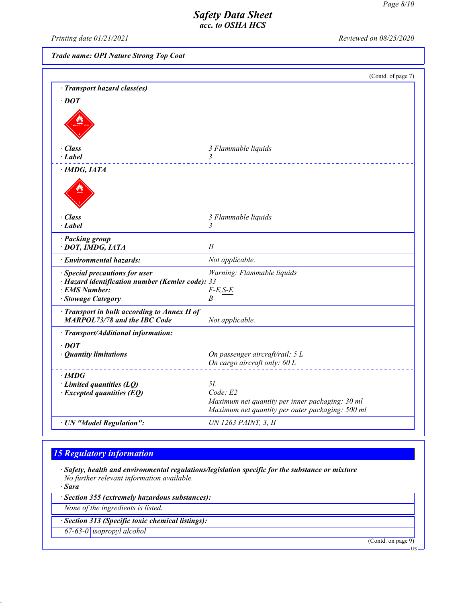*Printing date 01/21/2021 Reviewed on 08/25/2020*

*Trade name: OPI Nature Strong Top Coat*

|                                                                                                                                     | (Contd. of page 7)                                                                                                    |
|-------------------------------------------------------------------------------------------------------------------------------------|-----------------------------------------------------------------------------------------------------------------------|
| <b>Transport hazard class(es)</b>                                                                                                   |                                                                                                                       |
| $\cdot$ <i>DOT</i>                                                                                                                  |                                                                                                                       |
|                                                                                                                                     |                                                                                                                       |
| · Class                                                                                                                             | 3 Flammable liquids                                                                                                   |
| · Label                                                                                                                             | 3                                                                                                                     |
| $\cdot$ IMDG, IATA                                                                                                                  |                                                                                                                       |
| $\cdot$ Class                                                                                                                       | 3 Flammable liquids                                                                                                   |
| · Label                                                                                                                             | 3                                                                                                                     |
| · Packing group<br>· DOT, IMDG, IATA                                                                                                | $I\!I$                                                                                                                |
| · Environmental hazards:                                                                                                            | Not applicable.                                                                                                       |
| <b>Special precautions for user</b><br>· Hazard identification number (Kemler code): 33<br>· EMS Number:<br><b>Stowage Category</b> | Warning: Flammable liquids<br>$F-E, S-E$<br>B                                                                         |
| Transport in bulk according to Annex II of<br><b>MARPOL73/78 and the IBC Code</b>                                                   | Not applicable.                                                                                                       |
| · Transport/Additional information:                                                                                                 |                                                                                                                       |
| $\cdot$ <i>DOT</i><br>· Quantity limitations                                                                                        | On passenger aircraft/rail: 5 L<br>On cargo aircraft only: 60 L                                                       |
| $\cdot$ IMDG<br>$\cdot$ Limited quantities (LQ)<br>$\cdot$ Excepted quantities (EQ)                                                 | 5L<br>Code: E2<br>Maximum net quantity per inner packaging: 30 ml<br>Maximum net quantity per outer packaging: 500 ml |
| · UN "Model Regulation":                                                                                                            | UN 1263 PAINT, 3, II                                                                                                  |

# *15 Regulatory information*

*· Safety, health and environmental regulations/legislation specific for the substance or mixture No further relevant information available.*

*· Sara*

*· Section 355 (extremely hazardous substances):*

*None of the ingredients is listed.*

*· Section 313 (Specific toxic chemical listings):*

*67-63-0 isopropyl alcohol*

(Contd. on page 9)

US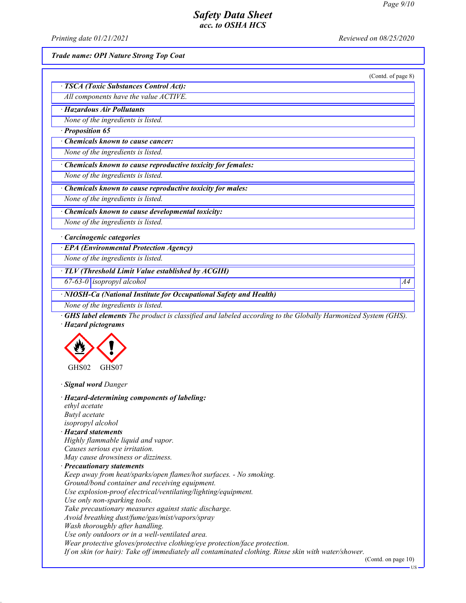*Printing date 01/21/2021 Reviewed on 08/25/2020*

*Trade name: OPI Nature Strong Top Coat*

*· TSCA (Toxic Substances Control Act):*

(Contd. of page 8)

*All components have the value ACTIVE.*

*· Hazardous Air Pollutants*

*None of the ingredients is listed.*

*· Proposition 65*

*· Chemicals known to cause cancer:*

*None of the ingredients is listed.*

*· Chemicals known to cause reproductive toxicity for females:*

*None of the ingredients is listed.*

*· Chemicals known to cause reproductive toxicity for males:*

*None of the ingredients is listed.*

*· Chemicals known to cause developmental toxicity:*

*None of the ingredients is listed.*

*· Carcinogenic categories*

*· EPA (Environmental Protection Agency)*

*None of the ingredients is listed.*

*· TLV (Threshold Limit Value established by ACGIH)*

*67-63-0 isopropyl alcohol A4*

*· NIOSH-Ca (National Institute for Occupational Safety and Health)*

*None of the ingredients is listed.*

*· GHS label elements The product is classified and labeled according to the Globally Harmonized System (GHS). · Hazard pictograms*



*· Signal word Danger*

*· Hazard-determining components of labeling: ethyl acetate Butyl acetate isopropyl alcohol · Hazard statements Highly flammable liquid and vapor. Causes serious eye irritation. May cause drowsiness or dizziness. · Precautionary statements Keep away from heat/sparks/open flames/hot surfaces. - No smoking. Ground/bond container and receiving equipment. Use explosion-proof electrical/ventilating/lighting/equipment. Use only non-sparking tools. Take precautionary measures against static discharge. Avoid breathing dust/fume/gas/mist/vapors/spray Wash thoroughly after handling. Use only outdoors or in a well-ventilated area. Wear protective gloves/protective clothing/eye protection/face protection. If on skin (or hair): Take off immediately all contaminated clothing. Rinse skin with water/shower.*